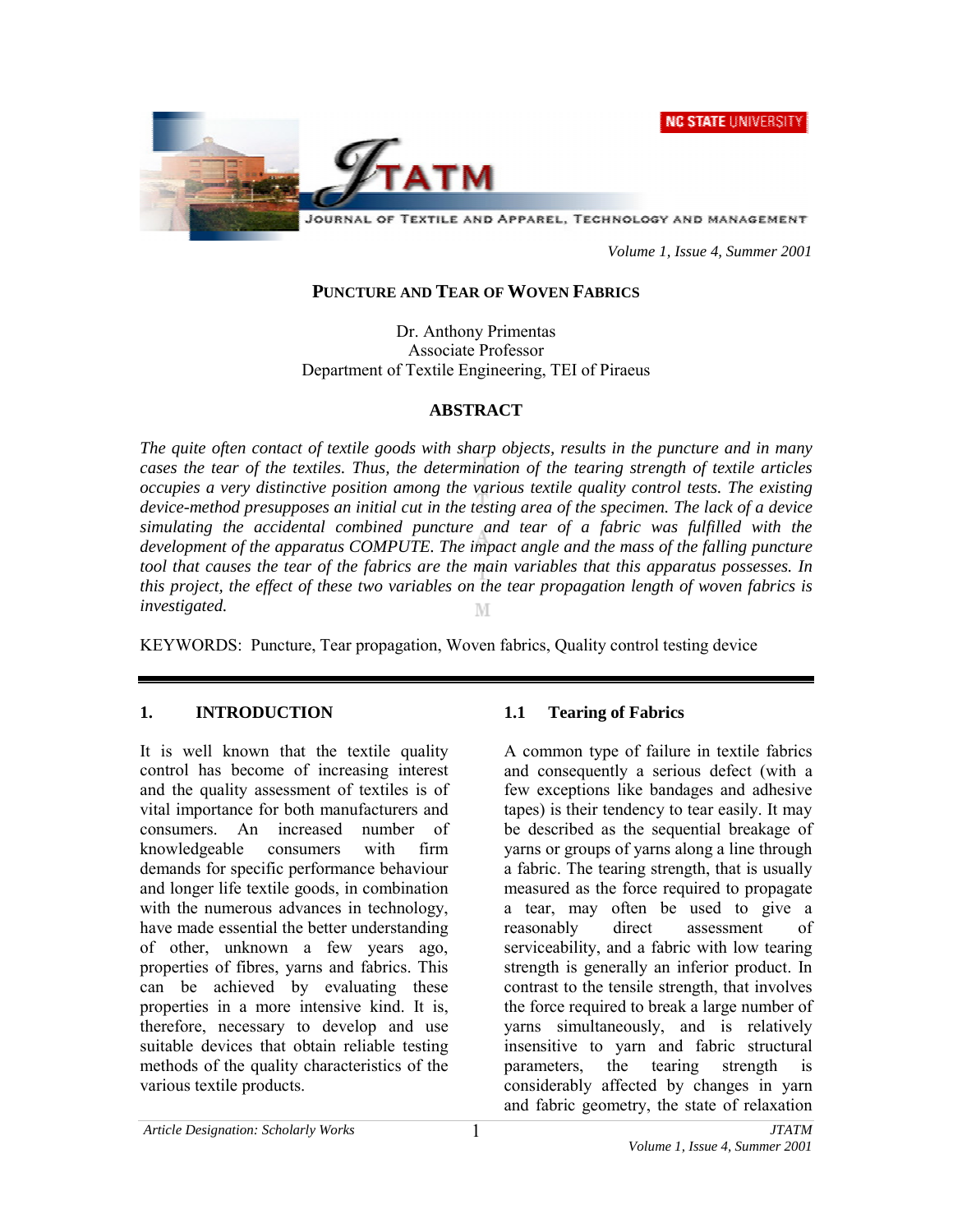**NC STATE UNIVERSITY** 



 *Volume 1, Issue 4, Summer 2001* 

#### **PUNCTURE AND TEAR OF WOVEN FABRICS**

Dr. Anthony Primentas Associate Professor Department of Textile Engineering, ΤΕΙ of Piraeus

#### **ABSTRACT**

*The quite often contact of textile goods with sharp objects, results in the puncture and in many cases the tear of the textiles. Thus, the determination of the tearing strength of textile articles occupies a very distinctive position among the various textile quality control tests. The existing device-method presupposes an initial cut in the testing area of the specimen. The lack of a device simulating the accidental combined puncture and tear of a fabric was fulfilled with the development of the apparatus COMPUTE. The impact angle and the mass of the falling puncture tool that causes the tear of the fabrics are the main variables that this apparatus possesses. In this project, the effect of these two variables on the tear propagation length of woven fabrics is investigated.* 

KEYWORDS: Puncture, Tear propagation, Woven fabrics, Quality control testing device

### **1. INTRODUCTION**

It is well known that the textile quality control has become of increasing interest and the quality assessment of textiles is of vital importance for both manufacturers and consumers. An increased number of knowledgeable consumers with firm demands for specific performance behaviour and longer life textile goods, in combination with the numerous advances in technology, have made essential the better understanding of other, unknown a few years ago, properties of fibres, yarns and fabrics. This can be achieved by evaluating these properties in a more intensive kind. It is, therefore, necessary to develop and use suitable devices that obtain reliable testing methods of the quality characteristics of the various textile products.

### **1.1 Tearing of Fabrics**

A common type of failure in textile fabrics and consequently a serious defect (with a few exceptions like bandages and adhesive tapes) is their tendency to tear easily. It may be described as the sequential breakage of yarns or groups of yarns along a line through a fabric. The tearing strength, that is usually measured as the force required to propagate a tear, may often be used to give a reasonably direct assessment of serviceability, and a fabric with low tearing strength is generally an inferior product. In contrast to the tensile strength, that involves the force required to break a large number of yarns simultaneously, and is relatively insensitive to yarn and fabric structural parameters, the tearing strength is considerably affected by changes in yarn and fabric geometry, the state of relaxation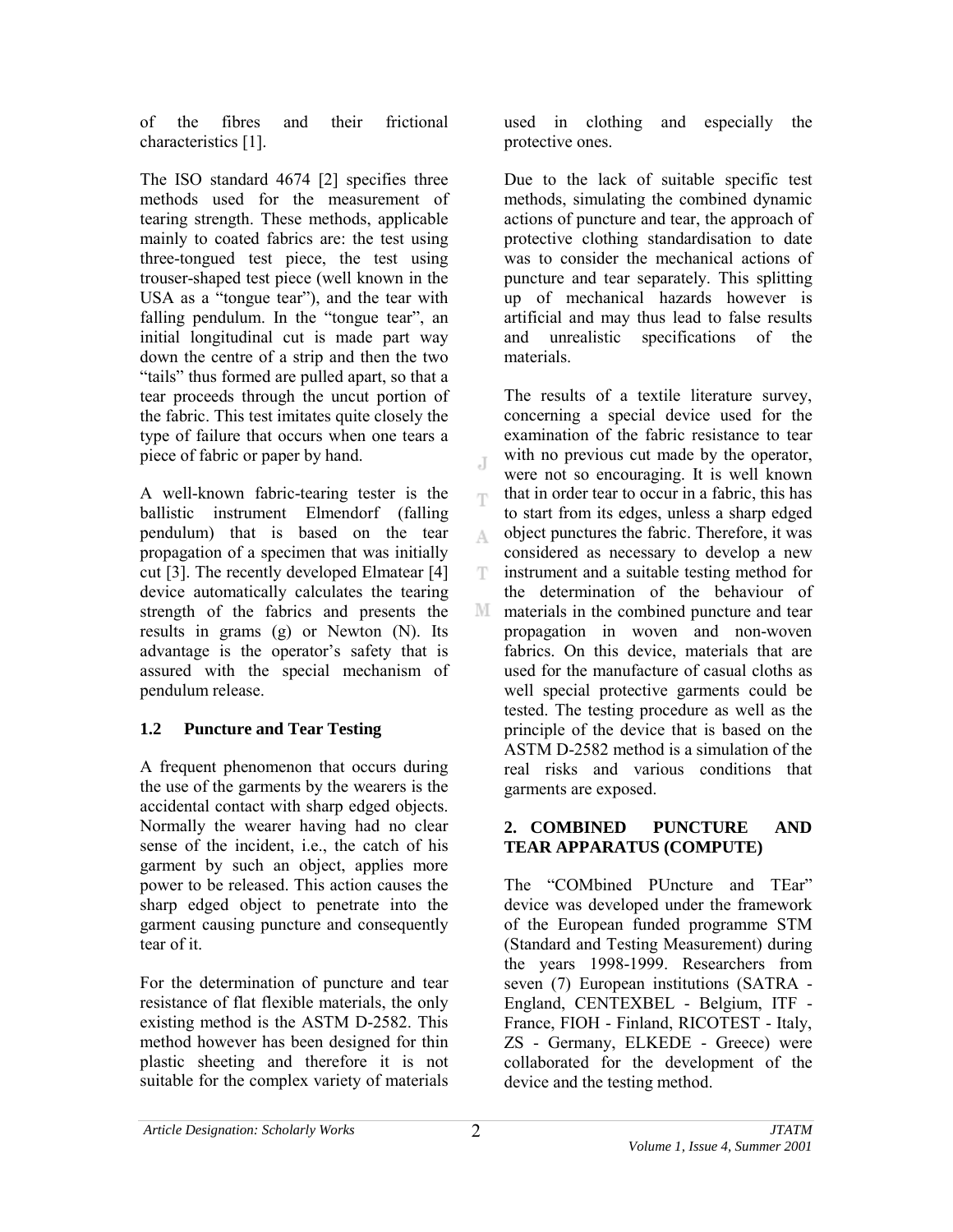of the fibres and their frictional characteristics [1].

The ISO standard 4674 [2] specifies three methods used for the measurement of tearing strength. These methods, applicable mainly to coated fabrics are: the test using three-tongued test piece, the test using trouser-shaped test piece (well known in the USA as a "tongue tear"), and the tear with falling pendulum. In the "tongue tear", an initial longitudinal cut is made part way down the centre of a strip and then the two "tails" thus formed are pulled apart, so that a tear proceeds through the uncut portion of the fabric. This test imitates quite closely the type of failure that occurs when one tears a piece of fabric or paper by hand.

A well-known fabric-tearing tester is the ballistic instrument Elmendorf (falling pendulum) that is based on the tear propagation of a specimen that was initially cut [3]. The recently developed Elmatear [4] device automatically calculates the tearing strength of the fabrics and presents the results in grams (g) or Newton (N). Its advantage is the operator's safety that is assured with the special mechanism of pendulum release.

# **1.2 Puncture and Tear Testing**

A frequent phenomenon that occurs during the use of the garments by the wearers is the accidental contact with sharp edged objects. Normally the wearer having had no clear sense of the incident, i.e., the catch of his garment by such an object, applies more power to be released. This action causes the sharp edged object to penetrate into the garment causing puncture and consequently tear of it.

For the determination of puncture and tear resistance of flat flexible materials, the only existing method is the ASTM D-2582. This method however has been designed for thin plastic sheeting and therefore it is not suitable for the complex variety of materials

used in clothing and especially the protective ones.

Due to the lack of suitable specific test methods, simulating the combined dynamic actions of puncture and tear, the approach of protective clothing standardisation to date was to consider the mechanical actions of puncture and tear separately. This splitting up of mechanical hazards however is artificial and may thus lead to false results and unrealistic specifications of the materials.

The results of a textile literature survey, concerning a special device used for the examination of the fabric resistance to tear with no previous cut made by the operator, were not so encouraging. It is well known that in order tear to occur in a fabric, this has T to start from its edges, unless a sharp edged object punctures the fabric. Therefore, it was A. considered as necessary to develop a new T instrument and a suitable testing method for the determination of the behaviour of M materials in the combined puncture and tear propagation in woven and non-woven fabrics. On this device, materials that are used for the manufacture of casual cloths as well special protective garments could be tested. The testing procedure as well as the principle of the device that is based on the ASTM D-2582 method is a simulation of the real risks and various conditions that garments are exposed.

### **2. COMBINED PUNCTURE AND TEAR APPARATUS (COMPUTE)**

The "COMbined PUncture and TEar" device was developed under the framework of the European funded programme STM (Standard and Testing Measurement) during the years 1998-1999. Researchers from seven (7) European institutions (SATRA - England, CENTEXBEL - Belgium, ITF - France, FIOH - Finland, RICOTEST - Italy, ZS - Germany, ELKEDE - Greece) were collaborated for the development of the device and the testing method.

 $\overline{A}$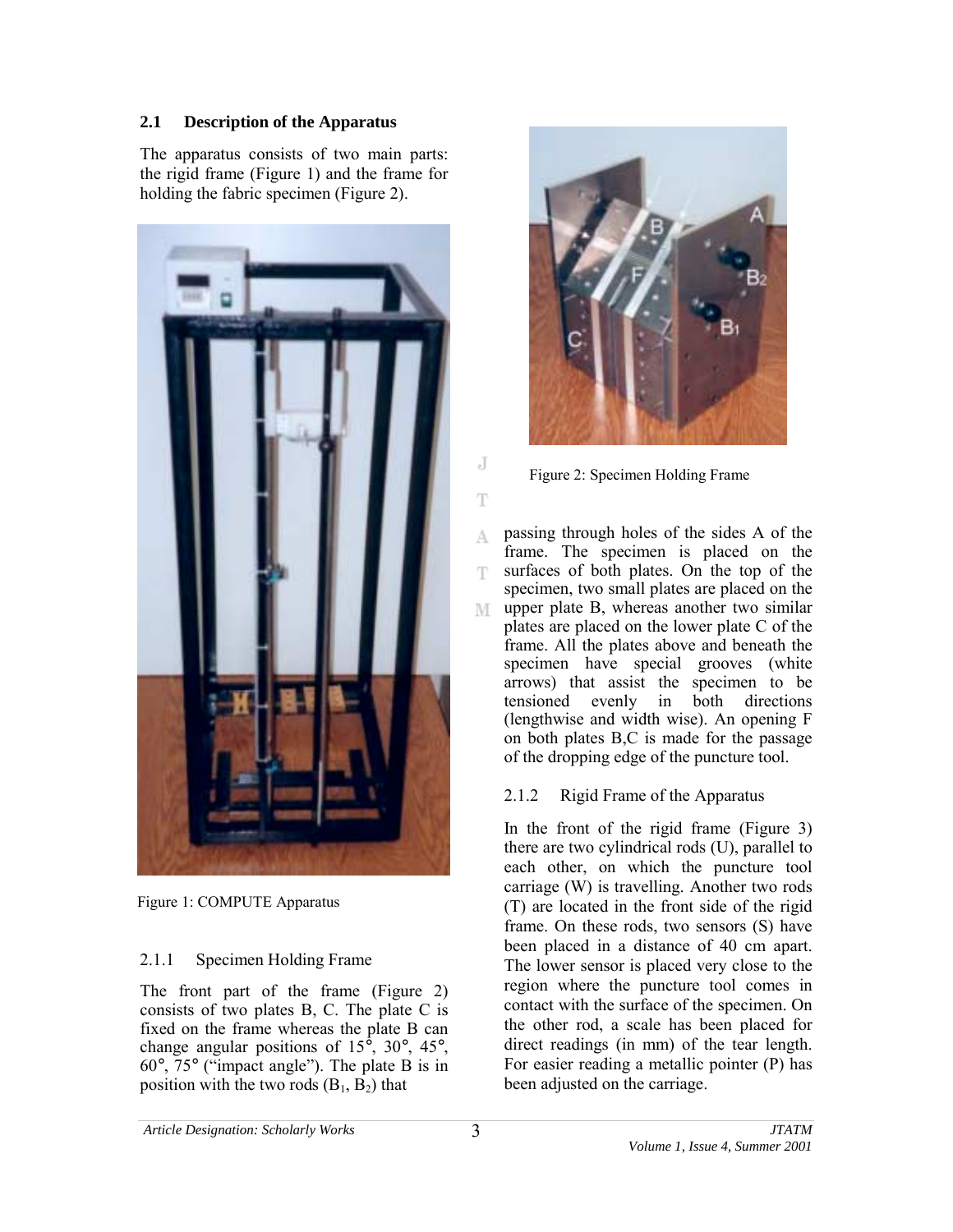### **2.1 Description of the Apparatus**

The apparatus consists of two main parts: the rigid frame (Figure 1) and the frame for holding the fabric specimen (Figure 2).



Figure 1: COMPUTE Apparatus

## 2.1.1 Specimen Holding Frame

The front part of the frame (Figure 2) consists of two plates B, C. The plate C is fixed on the frame whereas the plate B can change angular positions of 15°, 30°, 45°,  $60^{\circ}$ ,  $75^{\circ}$  ("impact angle"). The plate B is in position with the two rods  $(B_1, B_2)$  that



Figure 2: Specimen Holding Frame

passing through holes of the sides A of the A. frame. The specimen is placed on the surfaces of both plates. On the top of the T specimen, two small plates are placed on the upper plate B, whereas another two similar M plates are placed on the lower plate C of the frame. All the plates above and beneath the specimen have special grooves (white arrows) that assist the specimen to be tensioned evenly in both directions (lengthwise and width wise). An opening F on both plates B,C is made for the passage of the dropping edge of the puncture tool.

# 2.1.2 Rigid Frame of the Apparatus

In the front of the rigid frame (Figure 3) there are two cylindrical rods (U), parallel to each other, on which the puncture tool carriage (W) is travelling. Another two rods (T) are located in the front side of the rigid frame. On these rods, two sensors (S) have been placed in a distance of 40 cm apart. The lower sensor is placed very close to the region where the puncture tool comes in contact with the surface of the specimen. On the other rod, a scale has been placed for direct readings (in mm) of the tear length. For easier reading a metallic pointer (P) has been adjusted on the carriage.

J

T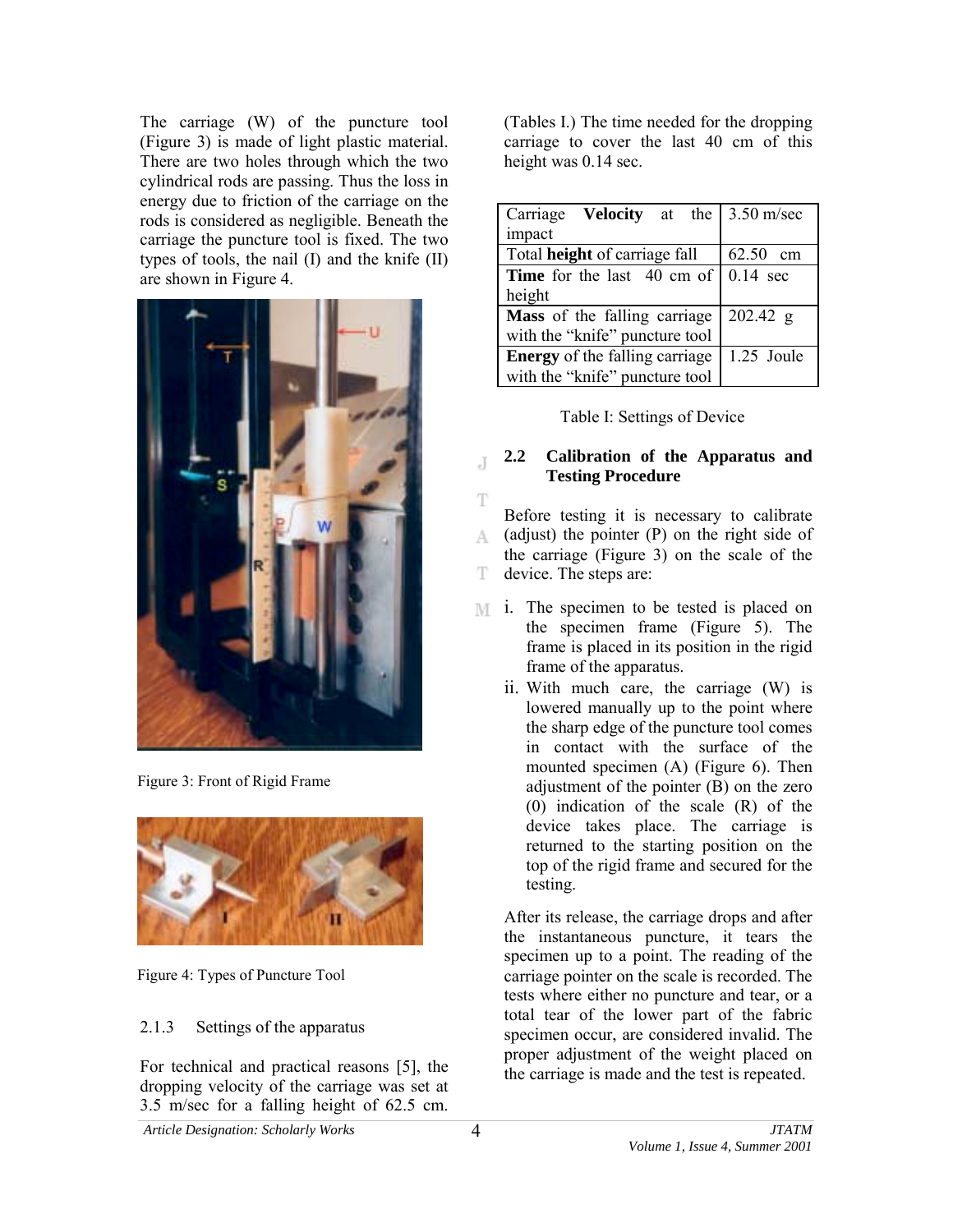The carriage (W) of the puncture tool (Figure 3) is made of light plastic material. There are two holes through which the two cylindrical rods are passing. Thus the loss in energy due to friction of the carriage on the rods is considered as negligible. Beneath the carriage the puncture tool is fixed. The two types of tools, the nail (I) and the knife (II) are shown in Figure 4.



Figure 3: Front of Rigid Frame



Figure 4: Types of Puncture Tool

## 2.1.3 Settings of the apparatus

For technical and practical reasons [5], the dropping velocity of the carriage was set at 3.5 m/sec for a falling height of 62.5 cm.

(Tables I.) The time needed for the dropping carriage to cover the last 40 cm of this height was 0.14 sec.

| Carriage <b>Velocity</b> at the       | $3.50$ m/sec       |  |  |
|---------------------------------------|--------------------|--|--|
| impact                                |                    |  |  |
| Total height of carriage fall         | 62.50 cm           |  |  |
| <b>Time</b> for the last 40 cm of     | $0.14 \text{ sec}$ |  |  |
| height                                |                    |  |  |
| Mass of the falling carriage          | 202.42 g           |  |  |
| with the "knife" puncture tool        |                    |  |  |
| <b>Energy</b> of the falling carriage | 1.25 Joule         |  |  |
| with the "knife" puncture tool        |                    |  |  |

Table I: Settings of Device

### **2.2 Calibration of the Apparatus and Testing Procedure**

Ŧ Before testing it is necessary to calibrate (adjust) the pointer (P) on the right side of A. the carriage (Figure 3) on the scale of the T device. The steps are:

- **M** i. The specimen to be tested is placed on the specimen frame (Figure 5). The frame is placed in its position in the rigid frame of the apparatus.
	- ii. With much care, the carriage (W) is lowered manually up to the point where the sharp edge of the puncture tool comes in contact with the surface of the mounted specimen (A) (Figure 6). Then adjustment of the pointer (B) on the zero (0) indication of the scale (R) of the device takes place. The carriage is returned to the starting position on the top of the rigid frame and secured for the testing.

After its release, the carriage drops and after the instantaneous puncture, it tears the specimen up to a point. The reading of the carriage pointer on the scale is recorded. The tests where either no puncture and tear, or a total tear of the lower part of the fabric specimen occur, are considered invalid. The proper adjustment of the weight placed on the carriage is made and the test is repeated.

J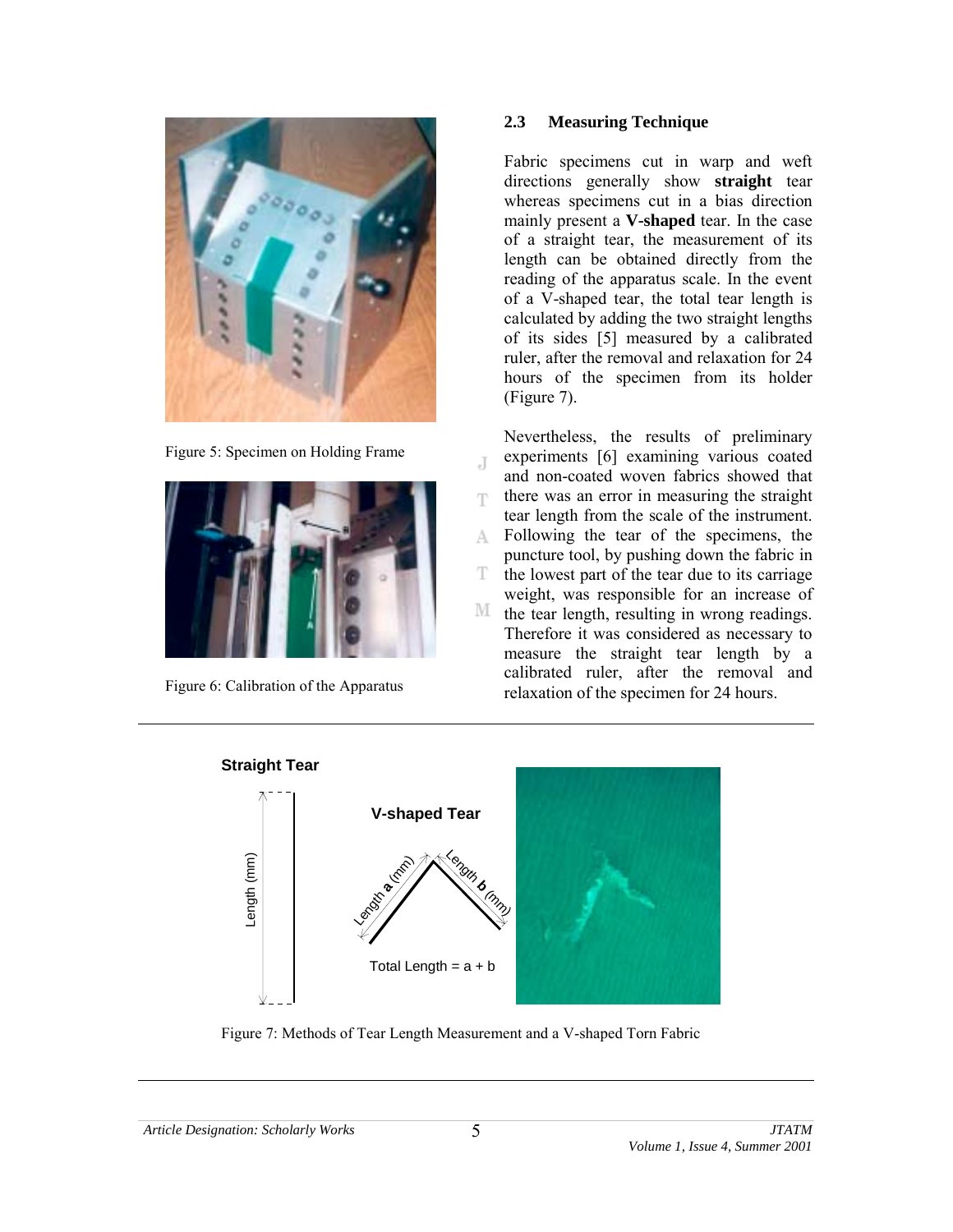

Figure 5: Specimen on Holding Frame



Figure 6: Calibration of the Apparatus

### **2.3 Measuring Technique**

Fabric specimens cut in warp and weft directions generally show **straight** tear whereas specimens cut in a bias direction mainly present a **V-shaped** tear. In the case of a straight tear, the measurement of its length can be obtained directly from the reading of the apparatus scale. In the event of a V-shaped tear, the total tear length is calculated by adding the two straight lengths of its sides [5] measured by a calibrated ruler, after the removal and relaxation for 24 hours of the specimen from its holder (Figure 7).

Nevertheless, the results of preliminary experiments [6] examining various coated J and non-coated woven fabrics showed that there was an error in measuring the straight T. tear length from the scale of the instrument. Following the tear of the specimens, the A. puncture tool, by pushing down the fabric in T the lowest part of the tear due to its carriage weight, was responsible for an increase of М the tear length, resulting in wrong readings. Therefore it was considered as necessary to measure the straight tear length by a calibrated ruler, after the removal and relaxation of the specimen for 24 hours.



Figure 7: Methods of Tear Length Measurement and a V-shaped Torn Fabric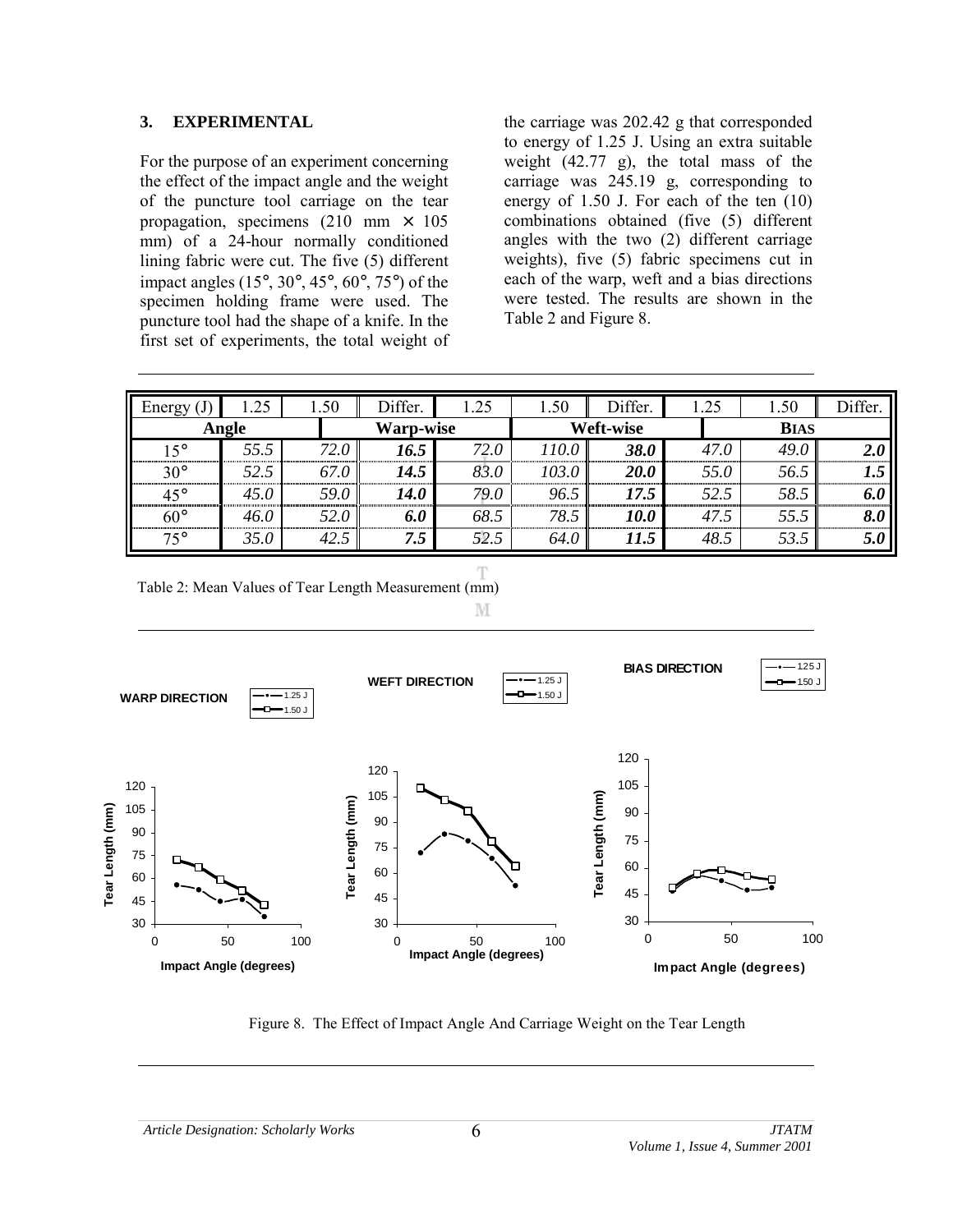#### **3. EXPERIMENTAL**

For the purpose of an experiment concerning the effect of the impact angle and the weight of the puncture tool carriage on the tear propagation, specimens (210 mm  $\times$  105 mm) of a 24-hour normally conditioned lining fabric were cut. The five (5) different impact angles (15°, 30°, 45°, 60°, 75°) of the specimen holding frame were used. The puncture tool had the shape of a knife. In the first set of experiments, the total weight of

the carriage was 202.42 g that corresponded to energy of 1.25 J. Using an extra suitable weight (42.77 g), the total mass of the carriage was 245.19 g, corresponding to energy of 1.50 J. For each of the ten (10) combinations obtained (five (5) different angles with the two (2) different carriage weights), five (5) fabric specimens cut in each of the warp, weft and a bias directions were tested. The results are shown in the Table 2 and Figure 8.

| Energy       | .25  | 1.50 | Differ.          | 1.25 | 1.50      | Differ.     | 1.25 | 1.50        | Differ. |
|--------------|------|------|------------------|------|-----------|-------------|------|-------------|---------|
| Angle        |      |      | <b>Warp-wise</b> |      | Weft-wise |             |      | <b>BIAS</b> |         |
| $15^{\circ}$ | 55.5 | 72.0 | 16.5             | 72.0 | 110.0     | <b>38.0</b> | 47.0 | 49.0        | 2.0     |
| $30^\circ$   | 52.5 | 67.0 | 14.5             | 83.0 | 103.0     | <i>20.0</i> | 55.0 | 56.5        | 1.5     |
| 45°          | 45.0 | 59.0 | 14.0             | 79.0 | 96.5      | 17.5        | 52.5 | 58.5        | 6.0     |
| $60^{\circ}$ | 46.0 | 52.0 | 6.0              | 68.5 | 78.5      | 10.0        | 47.5 | 55.5        | 8.0     |
| $75^\circ$   | 35.0 | 42.5 | 7.5              | 52.5 | 64.0      | 11.5        | 48.5 | 53.5        | 5.0     |

Table 2: Mean Values of Tear Length Measurement (mm)

M



Figure 8. The Effect of Impact Angle And Carriage Weight on the Tear Length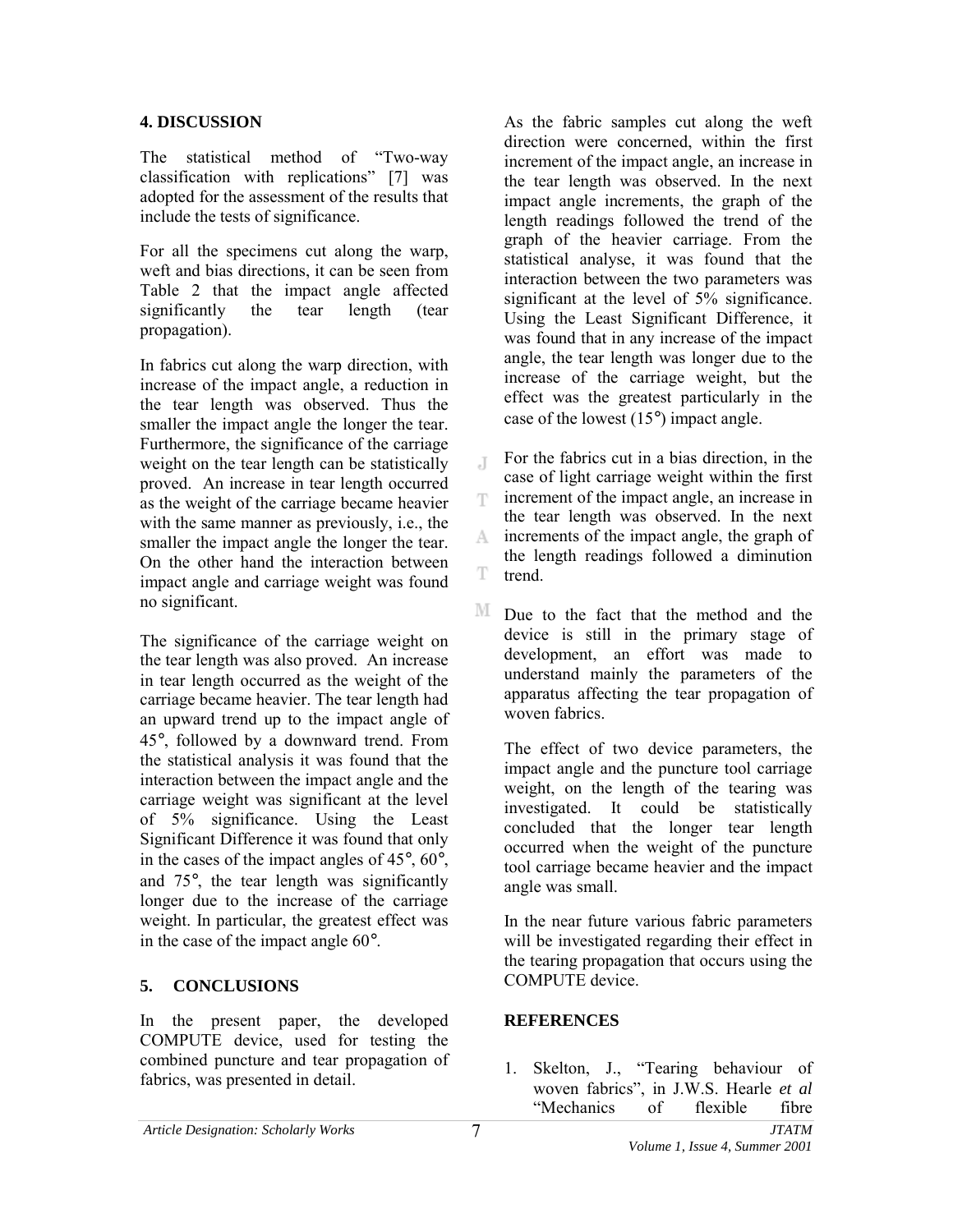### **4. DISCUSSION**

The statistical method of "Two-way" classification with replications" [7] was adopted for the assessment of the results that include the tests of significance.

For all the specimens cut along the warp, weft and bias directions, it can be seen from Table 2 that the impact angle affected significantly the tear length (tear propagation).

In fabrics cut along the warp direction, with increase of the impact angle, a reduction in the tear length was observed. Thus the smaller the impact angle the longer the tear. Furthermore, the significance of the carriage weight on the tear length can be statistically proved. An increase in tear length occurred as the weight of the carriage became heavier with the same manner as previously, i.e., the smaller the impact angle the longer the tear. On the other hand the interaction between impact angle and carriage weight was found no significant.

The significance of the carriage weight on the tear length was also proved. An increase in tear length occurred as the weight of the carriage became heavier. The tear length had an upward trend up to the impact angle of 45°, followed by a downward trend. From the statistical analysis it was found that the interaction between the impact angle and the carriage weight was significant at the level of 5% significance. Using the Least Significant Difference it was found that only in the cases of the impact angles of 45°, 60°, and 75°, the tear length was significantly longer due to the increase of the carriage weight. In particular, the greatest effect was in the case of the impact angle 60°.

## **5. CONCLUSIONS**

In the present paper, the developed COMPUTE device, used for testing the combined puncture and tear propagation of fabrics, was presented in detail.

As the fabric samples cut along the weft direction were concerned, within the first increment of the impact angle, an increase in the tear length was observed. In the next impact angle increments, the graph of the length readings followed the trend of the graph of the heavier carriage. From the statistical analyse, it was found that the interaction between the two parameters was significant at the level of 5% significance. Using the Least Significant Difference, it was found that in any increase of the impact angle, the tear length was longer due to the increase of the carriage weight, but the effect was the greatest particularly in the case of the lowest (15°) impact angle.

For the fabrics cut in a bias direction, in the  $\overline{A}$ case of light carriage weight within the first increment of the impact angle, an increase in T the tear length was observed. In the next increments of the impact angle, the graph of A. the length readings followed a diminution T trend.

М Due to the fact that the method and the device is still in the primary stage of development, an effort was made to understand mainly the parameters of the apparatus affecting the tear propagation of woven fabrics.

The effect of two device parameters, the impact angle and the puncture tool carriage weight, on the length of the tearing was investigated. It could be statistically concluded that the longer tear length occurred when the weight of the puncture tool carriage became heavier and the impact angle was small.

In the near future various fabric parameters will be investigated regarding their effect in the tearing propagation that occurs using the COMPUTE device.

## **REFERENCES**

1. Skelton, J., "Tearing behaviour of woven fabrics", in J.W.S. Hearle *et al* "Mechanics of flexible fibre